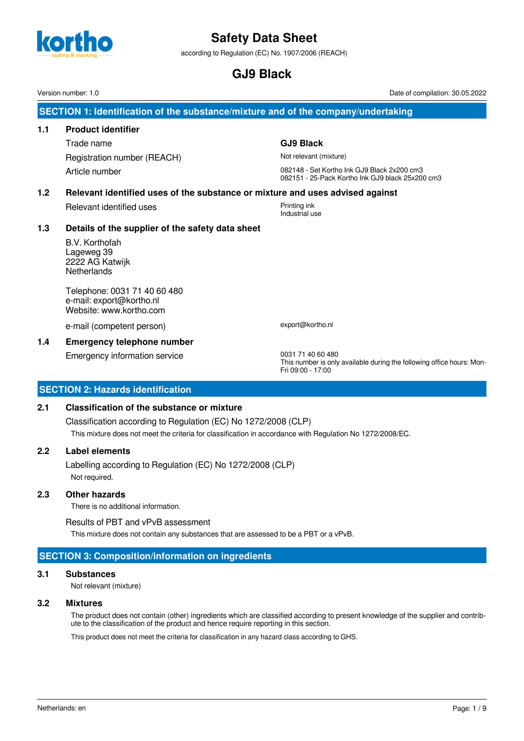

according to Regulation (EC) No. 1907/2006 (REACH)

**GJ9 Black**

Version number: 1.0 Date of compilation: 30.05.2022

**SECTION 1: Identification of the substance/mixture and of the company/undertaking**

# **1.1 Product identifier**

Trade name **GJ9 Black** Registration number (REACH) Not relevant (mixture)

Article number 082148 - Set Kortho Ink GJ9 Black 2x200 cm3 082151 - 25-Pack Kortho Ink GJ9 black 25x200 cm3

# **1.2 Relevant identified uses of the substance or mixture and uses advised against**

Relevant identified uses **Printing ink** 

# Industrial use

# **1.3 Details of the supplier of the safety data sheet**

B.V. Korthofah Lageweg 39 2222 AG Katwijk **Netherlands** 

Telephone: 0031 71 40 60 480 e-mail: export@kortho.nl Website: www.kortho.com

e-mail (competent person) export@kortho.nl

# **1.4 Emergency telephone number**

Emergency information service 0031 71 40 60 480

This number is only available during the following office hours: Mon-Fri 09:00 - 17:00

# **SECTION 2: Hazards identification**

# **2.1 Classification of the substance or mixture**

Classification according to Regulation (EC) No 1272/2008 (CLP) This mixture does not meet the criteria for classification in accordance with Regulation No 1272/2008/EC.

# **2.2 Label elements**

Labelling according to Regulation (EC) No 1272/2008 (CLP) Not required.

# **2.3 Other hazards**

There is no additional information.

Results of PBT and vPvB assessment

This mixture does not contain any substances that are assessed to be a PBT or a vPvB.

# **SECTION 3: Composition/information on ingredients**

# **3.1 Substances**

Not relevant (mixture)

# **3.2 Mixtures**

The product does not contain (other) ingredients which are classified according to present knowledge of the supplier and contribute to the classification of the product and hence require reporting in this section.

This product does not meet the criteria for classification in any hazard class according to GHS.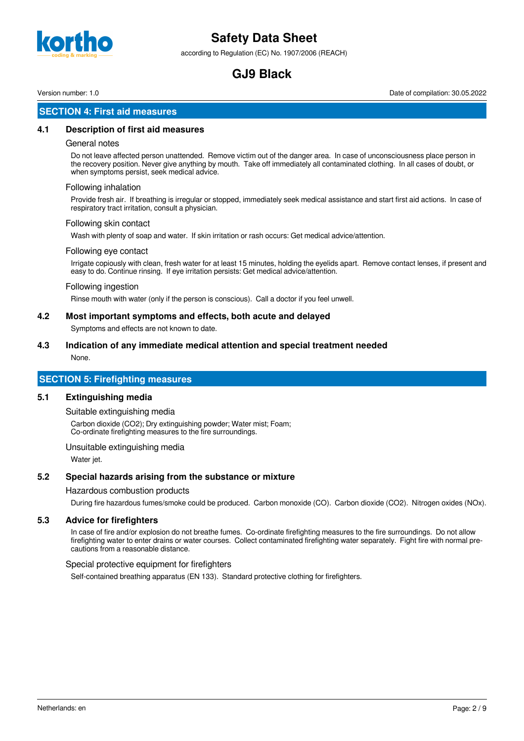

according to Regulation (EC) No. 1907/2006 (REACH)

# **GJ9 Black**

Version number: 1.0 Date of compilation: 30.05.2022

### **SECTION 4: First aid measures**

### **4.1 Description of first aid measures**

### General notes

Do not leave affected person unattended. Remove victim out of the danger area. In case of unconsciousness place person in the recovery position. Never give anything by mouth. Take off immediately all contaminated clothing. In all cases of doubt, or when symptoms persist, seek medical advice.

#### Following inhalation

Provide fresh air. If breathing is irregular or stopped, immediately seek medical assistance and start first aid actions. In case of respiratory tract irritation, consult a physician.

#### Following skin contact

Wash with plenty of soap and water. If skin irritation or rash occurs: Get medical advice/attention.

#### Following eye contact

Irrigate copiously with clean, fresh water for at least 15 minutes, holding the eyelids apart. Remove contact lenses, if present and easy to do. Continue rinsing. If eye irritation persists: Get medical advice/attention.

#### Following ingestion

Rinse mouth with water (only if the person is conscious). Call a doctor if you feel unwell.

### **4.2 Most important symptoms and effects, both acute and delayed**

Symptoms and effects are not known to date.

# **4.3 Indication of any immediate medical attention and special treatment needed**

None.

# **SECTION 5: Firefighting measures**

### **5.1 Extinguishing media**

Suitable extinguishing media

Carbon dioxide (CO2); Dry extinguishing powder; Water mist; Foam; Co-ordinate firefighting measures to the fire surroundings.

Unsuitable extinguishing media

Water jet.

### **5.2 Special hazards arising from the substance or mixture**

Hazardous combustion products

During fire hazardous fumes/smoke could be produced. Carbon monoxide (CO). Carbon dioxide (CO2). Nitrogen oxides (NOx).

### **5.3 Advice for firefighters**

In case of fire and/or explosion do not breathe fumes. Co-ordinate firefighting measures to the fire surroundings. Do not allow firefighting water to enter drains or water courses. Collect contaminated firefighting water separately. Fight fire with normal precautions from a reasonable distance.

### Special protective equipment for firefighters

Self-contained breathing apparatus (EN 133). Standard protective clothing for firefighters.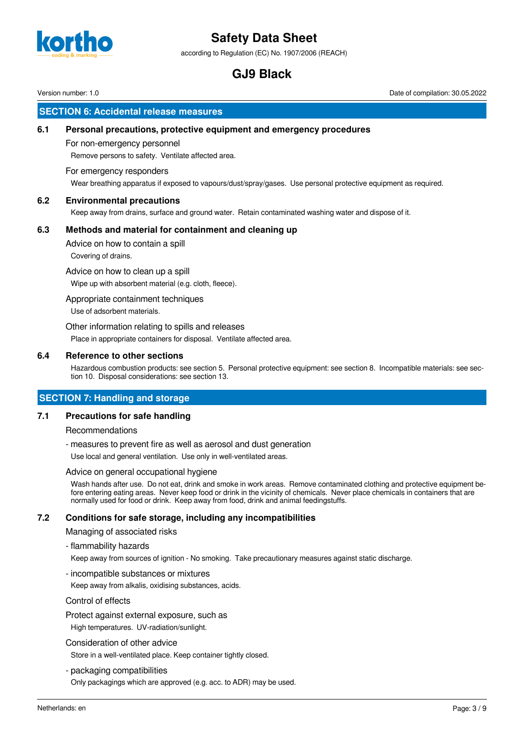

according to Regulation (EC) No. 1907/2006 (REACH)

# **GJ9 Black**

Version number: 1.0 Date of compilation: 30.05.2022

# **SECTION 6: Accidental release measures**

### **6.1 Personal precautions, protective equipment and emergency procedures**

### For non-emergency personnel

Remove persons to safety. Ventilate affected area.

### For emergency responders

Wear breathing apparatus if exposed to vapours/dust/spray/gases. Use personal protective equipment as required.

### **6.2 Environmental precautions**

Keep away from drains, surface and ground water. Retain contaminated washing water and dispose of it.

### **6.3 Methods and material for containment and cleaning up**

Advice on how to contain a spill

Covering of drains.

Advice on how to clean up a spill

Wipe up with absorbent material (e.g. cloth, fleece).

### Appropriate containment techniques

Use of adsorbent materials.

Other information relating to spills and releases

Place in appropriate containers for disposal. Ventilate affected area.

### **6.4 Reference to other sections**

Hazardous combustion products: see section 5. Personal protective equipment: see section 8. Incompatible materials: see section 10. Disposal considerations: see section 13.

### **SECTION 7: Handling and storage**

### **7.1 Precautions for safe handling**

Recommendations

- measures to prevent fire as well as aerosol and dust generation

Use local and general ventilation. Use only in well-ventilated areas.

### Advice on general occupational hygiene

Wash hands after use. Do not eat, drink and smoke in work areas. Remove contaminated clothing and protective equipment before entering eating areas. Never keep food or drink in the vicinity of chemicals. Never place chemicals in containers that are normally used for food or drink. Keep away from food, drink and animal feedingstuffs.

# **7.2 Conditions for safe storage, including any incompatibilities**

Managing of associated risks

- flammability hazards

Keep away from sources of ignition - No smoking. Take precautionary measures against static discharge.

- incompatible substances or mixtures

Keep away from alkalis, oxidising substances, acids.

### Control of effects

Protect against external exposure, such as

High temperatures. UV-radiation/sunlight.

### Consideration of other advice

Store in a well-ventilated place. Keep container tightly closed.

- packaging compatibilities

Only packagings which are approved (e.g. acc. to ADR) may be used.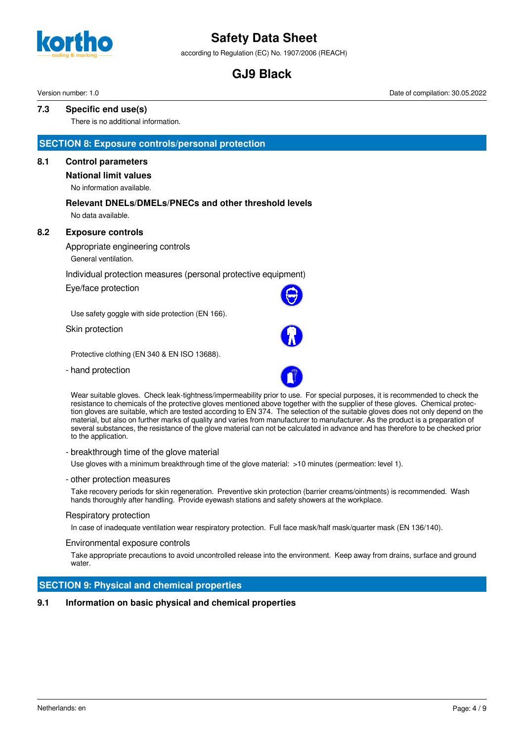

according to Regulation (EC) No. 1907/2006 (REACH)

# **GJ9 Black**

Version number: 1.0 Date of compilation: 30.05.2022

### **7.3 Specific end use(s)**

There is no additional information.

### **SECTION 8: Exposure controls/personal protection**

### **8.1 Control parameters**

# **National limit values**

No information available.

# **Relevant DNELs/DMELs/PNECs and other threshold levels**

No data available.

### **8.2 Exposure controls**

Appropriate engineering controls

General ventilation.

### Individual protection measures (personal protective equipment)

Eye/face protection

Use safety goggle with side protection (EN 166).

Skin protection

Protective clothing (EN 340 & EN ISO 13688).

- hand protection



Wear suitable gloves. Check leak-tightness/impermeability prior to use. For special purposes, it is recommended to check the resistance to chemicals of the protective gloves mentioned above together with the supplier of these gloves. Chemical protection gloves are suitable, which are tested according to EN 374. The selection of the suitable gloves does not only depend on the material, but also on further marks of quality and varies from manufacturer to manufacturer. As the product is a preparation of several substances, the resistance of the glove material can not be calculated in advance and has therefore to be checked prior to the application.

### - breakthrough time of the glove material

Use gloves with a minimum breakthrough time of the glove material: >10 minutes (permeation: level 1).

#### - other protection measures

Take recovery periods for skin regeneration. Preventive skin protection (barrier creams/ointments) is recommended. Wash hands thoroughly after handling. Provide eyewash stations and safety showers at the workplace.

### Respiratory protection

In case of inadequate ventilation wear respiratory protection. Full face mask/half mask/quarter mask (EN 136/140).

### Environmental exposure controls

Take appropriate precautions to avoid uncontrolled release into the environment. Keep away from drains, surface and ground water.

### **SECTION 9: Physical and chemical properties**

### **9.1 Information on basic physical and chemical properties**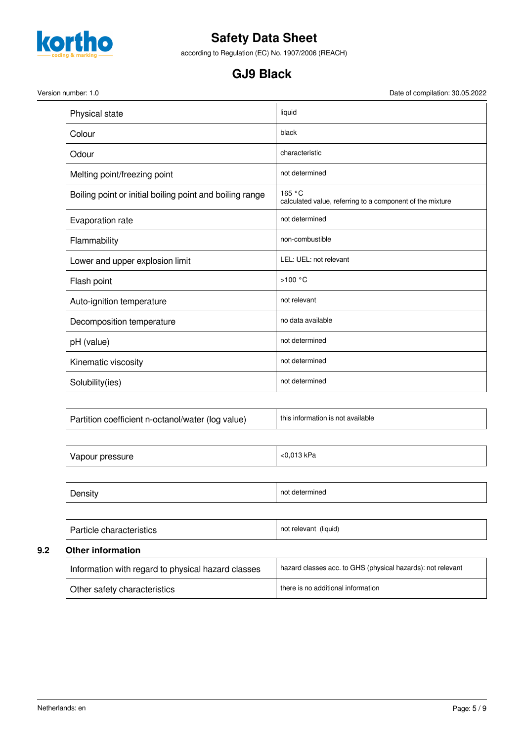

according to Regulation (EC) No. 1907/2006 (REACH)

# **GJ9 Black**

Version number: 1.0 Date of compilation: 30.05.2022

| Physical state                                           | liquid                                                              |
|----------------------------------------------------------|---------------------------------------------------------------------|
| Colour                                                   | black                                                               |
| Odour                                                    | characteristic                                                      |
| Melting point/freezing point                             | not determined                                                      |
| Boiling point or initial boiling point and boiling range | 165 °C<br>calculated value, referring to a component of the mixture |
| Evaporation rate                                         | not determined                                                      |
| Flammability                                             | non-combustible                                                     |
| Lower and upper explosion limit                          | LEL: UEL: not relevant                                              |
| Flash point                                              | >100 °C                                                             |
| Auto-ignition temperature                                | not relevant                                                        |
| Decomposition temperature                                | no data available                                                   |
| pH (value)                                               | not determined                                                      |
| Kinematic viscosity                                      | not determined                                                      |
| Solubility(ies)                                          | not determined                                                      |

| Vapour pressure | <0,013 kPa     |
|-----------------|----------------|
|                 |                |
| Density         | not determined |

| Particle characteristics                           | not relevant (liquid)                                       |  |  |  |
|----------------------------------------------------|-------------------------------------------------------------|--|--|--|
| Other information                                  |                                                             |  |  |  |
| Information with regard to physical hazard classes | hazard classes acc. to GHS (physical hazards): not relevant |  |  |  |
| Other safety characteristics                       | there is no additional information                          |  |  |  |

**9.2**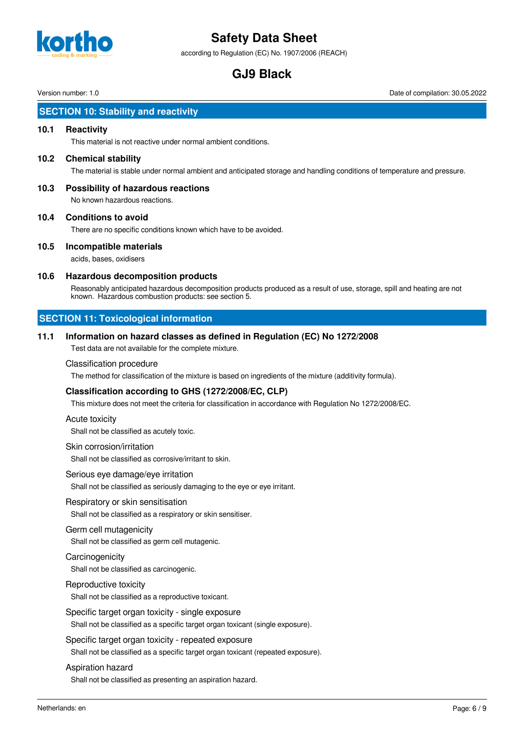

according to Regulation (EC) No. 1907/2006 (REACH)

# **GJ9 Black**

Version number: 1.0 Date of compilation: 30.05.2022

# **SECTION 10: Stability and reactivity**

### **10.1 Reactivity**

This material is not reactive under normal ambient conditions.

### **10.2 Chemical stability**

The material is stable under normal ambient and anticipated storage and handling conditions of temperature and pressure.

**10.3 Possibility of hazardous reactions** No known hazardous reactions.

### **10.4 Conditions to avoid**

There are no specific conditions known which have to be avoided.

### **10.5 Incompatible materials**

acids, bases, oxidisers

### **10.6 Hazardous decomposition products**

Reasonably anticipated hazardous decomposition products produced as a result of use, storage, spill and heating are not known. Hazardous combustion products: see section 5.

# **SECTION 11: Toxicological information**

### **11.1 Information on hazard classes as defined in Regulation (EC) No 1272/2008**

Test data are not available for the complete mixture.

### Classification procedure

The method for classification of the mixture is based on ingredients of the mixture (additivity formula).

### **Classification according to GHS (1272/2008/EC, CLP)**

This mixture does not meet the criteria for classification in accordance with Regulation No 1272/2008/EC.

### Acute toxicity

Shall not be classified as acutely toxic.

### Skin corrosion/irritation

Shall not be classified as corrosive/irritant to skin.

### Serious eye damage/eye irritation

Shall not be classified as seriously damaging to the eye or eye irritant.

### Respiratory or skin sensitisation

Shall not be classified as a respiratory or skin sensitiser.

### Germ cell mutagenicity

Shall not be classified as germ cell mutagenic.

### **Carcinogenicity**

Shall not be classified as carcinogenic.

### Reproductive toxicity

Shall not be classified as a reproductive toxicant.

### Specific target organ toxicity - single exposure

Shall not be classified as a specific target organ toxicant (single exposure).

### Specific target organ toxicity - repeated exposure

Shall not be classified as a specific target organ toxicant (repeated exposure).

### Aspiration hazard

Shall not be classified as presenting an aspiration hazard.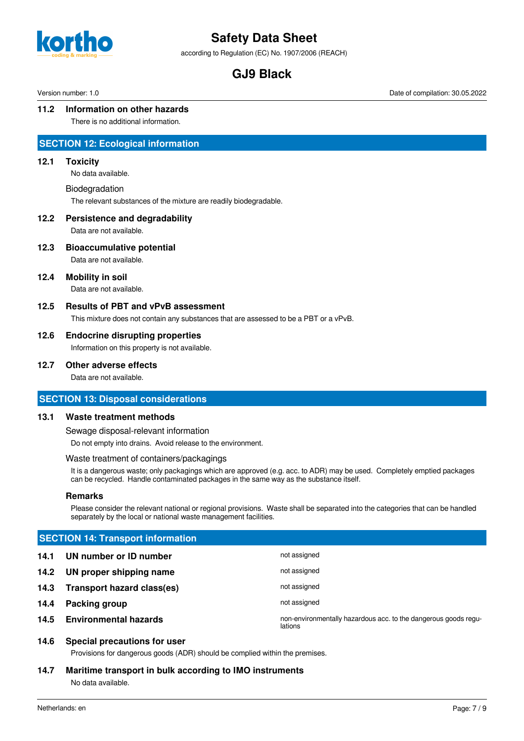

according to Regulation (EC) No. 1907/2006 (REACH)

# **GJ9 Black**

Version number: 1.0 Date of compilation: 30.05.2022

### **11.2 Information on other hazards**

There is no additional information.

### **SECTION 12: Ecological information**

### **12.1 Toxicity**

No data available.

#### Biodegradation

The relevant substances of the mixture are readily biodegradable.

### **12.2 Persistence and degradability**

Data are not available.

### **12.3 Bioaccumulative potential**

Data are not available.

### **12.4 Mobility in soil**

Data are not available.

### **12.5 Results of PBT and vPvB assessment**

This mixture does not contain any substances that are assessed to be a PBT or a vPvB.

### **12.6 Endocrine disrupting properties**

Information on this property is not available.

### **12.7 Other adverse effects**

Data are not available.

# **SECTION 13: Disposal considerations**

### **13.1 Waste treatment methods**

Sewage disposal-relevant information

Do not empty into drains. Avoid release to the environment.

### Waste treatment of containers/packagings

It is a dangerous waste; only packagings which are approved (e.g. acc. to ADR) may be used. Completely emptied packages can be recycled. Handle contaminated packages in the same way as the substance itself.

### **Remarks**

Please consider the relevant national or regional provisions. Waste shall be separated into the categories that can be handled separately by the local or national waste management facilities.

| <b>SECTION 14: Transport information</b> |                              |                                                                            |
|------------------------------------------|------------------------------|----------------------------------------------------------------------------|
| 14.1                                     | UN number or ID number       | not assigned                                                               |
| 14.2                                     | UN proper shipping name      | not assigned                                                               |
| 14.3                                     | Transport hazard class(es)   | not assigned                                                               |
| 14.4                                     | Packing group                | not assigned                                                               |
| 14.5                                     | <b>Environmental hazards</b> | non-environmentally hazardous acc. to the dangerous goods regu-<br>lations |

# **14.6 Special precautions for user**

Provisions for dangerous goods (ADR) should be complied within the premises.

### **14.7 Maritime transport in bulk according to IMO instruments**

No data available.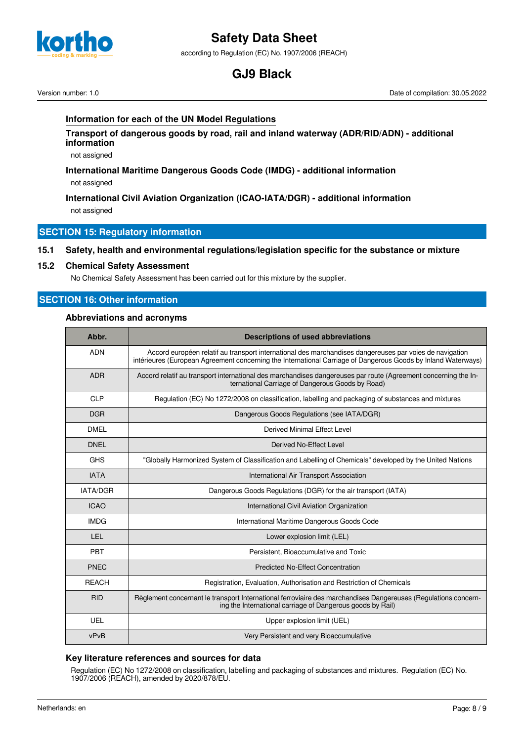

according to Regulation (EC) No. 1907/2006 (REACH)

# **GJ9 Black**

Version number: 1.0 Date of compilation: 30.05.2022

### **Information for each of the UN Model Regulations**

**Transport of dangerous goods by road, rail and inland waterway (ADR/RID/ADN) - additional information**

not assigned

### **International Maritime Dangerous Goods Code (IMDG) - additional information** not assigned

**International Civil Aviation Organization (ICAO-IATA/DGR) - additional information** not assigned

### **SECTION 15: Regulatory information**

### **15.1 Safety, health and environmental regulations/legislation specific for the substance or mixture**

### **15.2 Chemical Safety Assessment**

No Chemical Safety Assessment has been carried out for this mixture by the supplier.

# **SECTION 16: Other information**

### **Abbreviations and acronyms**

| Abbr.           | <b>Descriptions of used abbreviations</b>                                                                                                                                                                                |  |
|-----------------|--------------------------------------------------------------------------------------------------------------------------------------------------------------------------------------------------------------------------|--|
| <b>ADN</b>      | Accord européen relatif au transport international des marchandises dangereuses par voies de navigation<br>intérieures (European Agreement concerning the International Carriage of Dangerous Goods by Inland Waterways) |  |
| <b>ADR</b>      | Accord relatif au transport international des marchandises dangereuses par route (Agreement concerning the In-<br>ternational Carriage of Dangerous Goods by Road)                                                       |  |
| <b>CLP</b>      | Regulation (EC) No 1272/2008 on classification, labelling and packaging of substances and mixtures                                                                                                                       |  |
| <b>DGR</b>      | Dangerous Goods Regulations (see IATA/DGR)                                                                                                                                                                               |  |
| <b>DMEL</b>     | Derived Minimal Effect Level                                                                                                                                                                                             |  |
| <b>DNEL</b>     | Derived No-Effect Level                                                                                                                                                                                                  |  |
| <b>GHS</b>      | "Globally Harmonized System of Classification and Labelling of Chemicals" developed by the United Nations                                                                                                                |  |
| <b>IATA</b>     | International Air Transport Association                                                                                                                                                                                  |  |
| <b>IATA/DGR</b> | Dangerous Goods Regulations (DGR) for the air transport (IATA)                                                                                                                                                           |  |
| <b>ICAO</b>     | International Civil Aviation Organization                                                                                                                                                                                |  |
| <b>IMDG</b>     | International Maritime Dangerous Goods Code                                                                                                                                                                              |  |
| LEL.            | Lower explosion limit (LEL)                                                                                                                                                                                              |  |
| PBT             | Persistent, Bioaccumulative and Toxic                                                                                                                                                                                    |  |
| <b>PNEC</b>     | <b>Predicted No-Effect Concentration</b>                                                                                                                                                                                 |  |
| <b>REACH</b>    | Registration, Evaluation, Authorisation and Restriction of Chemicals                                                                                                                                                     |  |
| <b>RID</b>      | Règlement concernant le transport International ferroviaire des marchandises Dangereuses (Regulations concern-<br>ing the International carriage of Dangerous goods by Rail)                                             |  |
| <b>UEL</b>      | Upper explosion limit (UEL)                                                                                                                                                                                              |  |
| vPvB            | Very Persistent and very Bioaccumulative                                                                                                                                                                                 |  |

### **Key literature references and sources for data**

Regulation (EC) No 1272/2008 on classification, labelling and packaging of substances and mixtures. Regulation (EC) No. 1907/2006 (REACH), amended by 2020/878/EU.